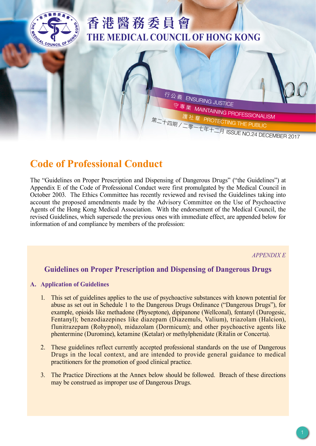

# 香港醫務委員會 **THE MEDICAL COUNCIL OF HONG KONG**

行公義<br><br>守專業 MAIL 守 專 業 MAINTAINING PROFESSIONALISM<br>護社 羣 PROTECTING THE PUBLIC<br>四期/二零一七年十二月 ISSUE NO.24 DECEMBER 2017

## **Code of Professional Conduct**

The "Guidelines on Proper Prescription and Dispensing of Dangerous Drugs" ("the Guidelines") at Appendix E of the Code of Professional Conduct were first promulgated by the Medical Council in October 2003. The Ethics Committee has recently reviewed and revised the Guidelines taking into account the proposed amendments made by the Advisory Committee on the Use of Psychoactive Agents of the Hong Kong Medical Association. With the endorsement of the Medical Council, the revised Guidelines, which supersede the previous ones with immediate effect, are appended below for information of and compliance by members of the profession:

*APPENDIX E*

## **Guidelines on Proper Prescription and Dispensing of Dangerous Drugs**

#### **A. Application of Guidelines**

- 1. This set of guidelines applies to the use of psychoactive substances with known potential for abuse as set out in Schedule 1 to the Dangerous Drugs Ordinance ("Dangerous Drugs"), for example, opioids like methadone (Physeptone), dipipanone (Wellconal), fentanyl (Durogesic, Fentanyl); benzodiazepines like diazepam (Diazemuls, Valium), triazolam (Halcion), flunitrazepam (Rohypnol), midazolam (Dormicum); and other psychoactive agents like phentermine (Duromine), ketamine (Ketalar) or methylphenidate (Ritalin or Concerta).
- 2. These guidelines reflect currently accepted professional standards on the use of Dangerous Drugs in the local context, and are intended to provide general guidance to medical practitioners for the promotion of good clinical practice.
- 3. The Practice Directions at the Annex below should be followed. Breach of these directions may be construed as improper use of Dangerous Drugs.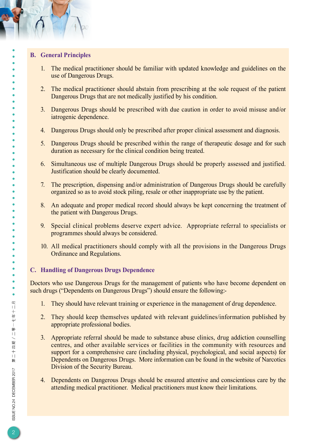#### **B. General Principles**

 $\bullet$  $\bullet$  $\bullet$  $\bullet$  $\bullet$  $\bullet$ ö  $\bullet$ 

 $\bullet$  $\bullet$  $\bullet$  $\bullet$  $\bullet$  $\bullet$  $\bullet$ 

 $\bullet$  $\bullet$ 

 $\bullet$  $\bullet$  $\bullet$  $\bullet$  $\bullet$  $\bullet$  $\bullet$  $\bullet$  $\bullet$ 

- 1. The medical practitioner should be familiar with updated knowledge and guidelines on the use of Dangerous Drugs.
- 2. The medical practitioner should abstain from prescribing at the sole request of the patient Dangerous Drugs that are not medically justified by his condition.
- 3. Dangerous Drugs should be prescribed with due caution in order to avoid misuse and/or iatrogenic dependence.
- 4. Dangerous Drugs should only be prescribed after proper clinical assessment and diagnosis.
- 5. Dangerous Drugs should be prescribed within the range of therapeutic dosage and for such duration as necessary for the clinical condition being treated.
- 6. Simultaneous use of multiple Dangerous Drugs should be properly assessed and justified. Justification should be clearly documented.
- 7. The prescription, dispensing and/or administration of Dangerous Drugs should be carefully organized so as to avoid stock piling, resale or other inappropriate use by the patient.
- 8. An adequate and proper medical record should always be kept concerning the treatment of the patient with Dangerous Drugs.
- 9. Special clinical problems deserve expert advice. Appropriate referral to specialists or programmes should always be considered.
- 10. All medical practitioners should comply with all the provisions in the Dangerous Drugs Ordinance and Regulations.

#### **C. Handling of Dangerous Drugs Dependence**

Doctors who use Dangerous Drugs for the management of patients who have become dependent on such drugs ("Dependents on Dangerous Drugs") should ensure the following:-

- 1. They should have relevant training or experience in the management of drug dependence.
- 2. They should keep themselves updated with relevant guidelines/information published by appropriate professional bodies.
- 3. Appropriate referral should be made to substance abuse clinics, drug addiction counselling centres, and other available services or facilities in the community with resources and support for a comprehensive care (including physical, psychological, and social aspects) for Dependents on Dangerous Drugs. More information can be found in the website of Narcotics Division of the Security Bureau.
- 4. Dependents on Dangerous Drugs should be ensured attentive and conscientious care by the attending medical practitioner. Medical practitioners must know their limitations.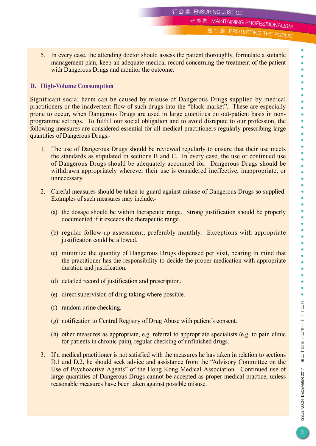守專業 MAINTAINING PROFESSIONALISM

護社羣 PROTECTING THE PUBLIC

5. In every case, the attending doctor should assess the patient thoroughly, formulate a suitable management plan, keep an adequate medical record concerning the treatment of the patient with Dangerous Drugs and monitor the outcome.

#### **D. High-Volume Consumption**

Significant social harm can be caused by misuse of Dangerous Drugs supplied by medical practitioners or the inadvertent flow of such drugs into the "black market". These are especially prone to occur, when Dangerous Drugs are used in large quantities on out-patient basis in nonprogramme settings. To fulfill our social obligation and to avoid disrepute to our profession, the following measures are considered essential for all medical practitioners regularly prescribing large quantities of Dangerous Drugs:-

- 1. The use of Dangerous Drugs should be reviewed regularly to ensure that their use meets the standards as stipulated in sections B and C. In every case, the use or continued use of Dangerous Drugs should be adequately accounted for. Dangerous Drugs should be withdrawn appropriately wherever their use is considered ineffective, inappropriate, or unnecessary.
- 2. Careful measures should be taken to guard against misuse of Dangerous Drugs so supplied. Examples of such measures may include:-
	- (a) the dosage should be within therapeutic range. Strong justification should be properly documented if it exceeds the therapeutic range.
	- (b) regular follow-up assessment, preferably monthly. Exceptions with appropriate justification could be allowed.
	- (c) minimize the quantity of Dangerous Drugs dispensed per visit, bearing in mind that the practitioner has the responsibility to decide the proper medication with appropriate duration and justification.
	- (d) detailed record of justification and prescription.
	- (e) direct supervision of drug-taking where possible.
	- (f) random urine checking.
	- (g) notification to Central Registry of Drug Abuse with patient's consent.
	- (h) other measures as appropriate, e.g. referral to appropriate specialists (e.g. to pain clinic for patients in chronic pain), regular checking of unfinished drugs.
- 3. If a medical practitioner is not satisfied with the measures he has taken in relation to sections D.1 and D.2, he should seek advice and assistance from the "Advisory Committee on the Use of Psychoactive Agents" of the Hong Kong Medical Association. Continued use of large quantities of Dangerous Drugs cannot be accepted as proper medical practice, unless reasonable measures have been taken against possible misuse.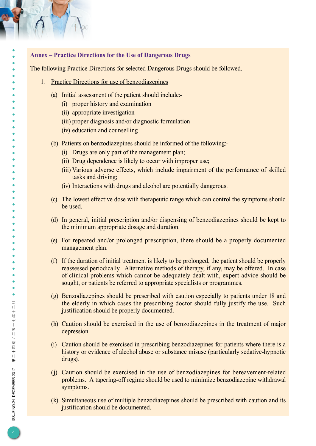#### **Annex – Practice Directions for the Use of Dangerous Drugs**

The following Practice Directions for selected Dangerous Drugs should be followed.

- 1. Practice Directions for use of benzodiazepines
	- (a) Initial assessment of the patient should include:-
		- (i) proper history and examination
		- (ii) appropriate investigation
		- (iii) proper diagnosis and/or diagnostic formulation
		- (iv) education and counselling
	- (b) Patients on benzodiazepines should be informed of the following:-
		- (i) Drugs are only part of the management plan;
		- (ii) Drug dependence is likely to occur with improper use;
		- (iii) Various adverse effects, which include impairment of the performance of skilled tasks and driving;
		- (iv) Interactions with drugs and alcohol are potentially dangerous.
	- (c) The lowest effective dose with therapeutic range which can control the symptoms should be used.
	- (d) In general, initial prescription and/or dispensing of benzodiazepines should be kept to the minimum appropriate dosage and duration.
	- (e) For repeated and/or prolonged prescription, there should be a properly documented management plan.
	- (f) If the duration of initial treatment is likely to be prolonged, the patient should be properly reassessed periodically. Alternative methods of therapy, if any, may be offered. In case of clinical problems which cannot be adequately dealt with, expert advice should be sought, or patients be referred to appropriate specialists or programmes.
	- (g) Benzodiazepines should be prescribed with caution especially to patients under 18 and the elderly in which cases the prescribing doctor should fully justify the use. Such justification should be properly documented.
	- (h) Caution should be exercised in the use of benzodiazepines in the treatment of major depression.
	- (i) Caution should be exercised in prescribing benzodiazepines for patients where there is a history or evidence of alcohol abuse or substance misuse (particularly sedative-hypnotic drugs).
	- (j) Caution should be exercised in the use of benzodiazepines for bereavement-related problems. A tapering-off regime should be used to minimize benzodiazepine withdrawal symptoms.
	- (k) Simultaneous use of multiple benzodiazepines should be prescribed with caution and its justification should be documented.

ISSUE NO.24 DECEMBER 2017

 $\bullet$  $\bullet$ 

 $\bullet$ 

 $\bullet$  $\bullet$ 

> $\bullet$  $\bullet$

 $\bullet$  $\bullet$ 

 $\bullet$ 

第二十四期/二零一七年十二月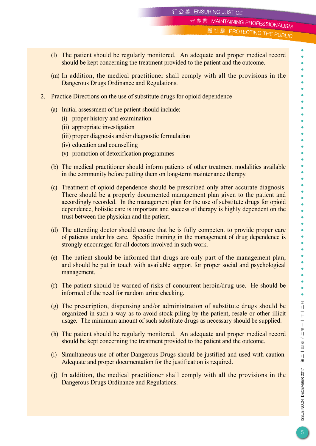守專業 MAINTAINING PROFESSIONALISM

護社羣 PROTECTING THE PUBLIC

- (l) The patient should be regularly monitored. An adequate and proper medical record should be kept concerning the treatment provided to the patient and the outcome.
- (m) In addition, the medical practitioner shall comply with all the provisions in the Dangerous Drugs Ordinance and Regulations.
- 2. Practice Directions on the use of substitute drugs for opioid dependence
	- (a) Initial assessment of the patient should include:-
		- (i) proper history and examination
		- (ii) appropriate investigation
		- (iii) proper diagnosis and/or diagnostic formulation
		- (iv) education and counselling
		- (v) promotion of detoxification programmes
	- (b) The medical practitioner should inform patients of other treatment modalities available in the community before putting them on long-term maintenance therapy.
	- (c) Treatment of opioid dependence should be prescribed only after accurate diagnosis. There should be a properly documented management plan given to the patient and accordingly recorded. In the management plan for the use of substitute drugs for opioid dependence, holistic care is important and success of therapy is highly dependent on the trust between the physician and the patient.
	- (d) The attending doctor should ensure that he is fully competent to provide proper care of patients under his care. Specific training in the management of drug dependence is strongly encouraged for all doctors involved in such work.
	- (e) The patient should be informed that drugs are only part of the management plan, and should be put in touch with available support for proper social and psychological management.
	- (f) The patient should be warned of risks of concurrent heroin/drug use. He should be informed of the need for random urine checking.
	- (g) The prescription, dispensing and/or administration of substitute drugs should be organized in such a way as to avoid stock piling by the patient, resale or other illicit usage. The minimum amount of such substitute drugs as necessary should be supplied.
	- (h) The patient should be regularly monitored. An adequate and proper medical record should be kept concerning the treatment provided to the patient and the outcome.
	- (i) Simultaneous use of other Dangerous Drugs should be justified and used with caution. Adequate and proper documentation for the justification is required.
	- (j) In addition, the medical practitioner shall comply with all the provisions in the Dangerous Drugs Ordinance and Regulations.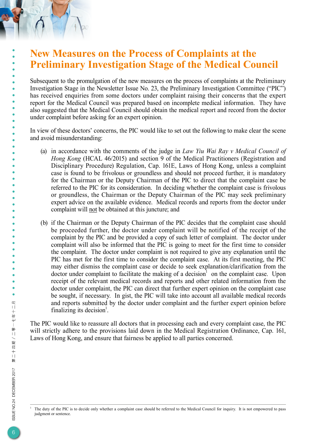## **New Measures on the Process of Complaints at the Preliminary Investigation Stage of the Medical Council**

Subsequent to the promulgation of the new measures on the process of complaints at the Preliminary Investigation Stage in the Newsletter Issue No. 23, the Preliminary Investigation Committee ("PIC") has received enquiries from some doctors under complaint raising their concerns that the expert report for the Medical Council was prepared based on incomplete medical information. They have also suggested that the Medical Council should obtain the medical report and record from the doctor under complaint before asking for an expert opinion.

In view of these doctors' concerns, the PIC would like to set out the following to make clear the scene and avoid misunderstanding:

- (a) in accordance with the comments of the judge in *Law Yiu Wai Ray v Medical Council of Hong Kong* (HCAL 46/2015) and section 9 of the Medical Practitioners (Registration and Disciplinary Procedure) Regulation, Cap. 161E, Laws of Hong Kong, unless a complaint case is found to be frivolous or groundless and should not proceed further, it is mandatory for the Chairman or the Deputy Chairman of the PIC to direct that the complaint case be referred to the PIC for its consideration. In deciding whether the complaint case is frivolous or groundless, the Chairman or the Deputy Chairman of the PIC may seek preliminary expert advice on the available evidence. Medical records and reports from the doctor under complaint will not be obtained at this juncture; and
- (b) if the Chairman or the Deputy Chairman of the PIC decides that the complaint case should be proceeded further, the doctor under complaint will be notified of the receipt of the complaint by the PIC and be provided a copy of such letter of complaint. The doctor under complaint will also be informed that the PIC is going to meet for the first time to consider the complaint. The doctor under complaint is not required to give any explanation until the PIC has met for the first time to consider the complaint case. At its first meeting, the PIC may either dismiss the complaint case or decide to seek explanation/clarification from the doctor under complaint to facilitate the making of a decision<sup>1</sup> on the complaint case. Upon receipt of the relevant medical records and reports and other related information from the doctor under complaint, the PIC can direct that further expert opinion on the complaint case be sought, if necessary. In gist, the PIC will take into account all available medical records and reports submitted by the doctor under complaint and the further expert opinion before finalizing its decision<sup>1</sup>.

The PIC would like to reassure all doctors that in processing each and every complaint case, the PIC will strictly adhere to the provisions laid down in the Medical Registration Ordinance, Cap. 161, Laws of Hong Kong, and ensure that fairness be applied to all parties concerned.

The duty of the PIC is to decide only whether a complaint case should be referred to the Medical Council for inquiry. It is not empowered to pass judgment or sentence.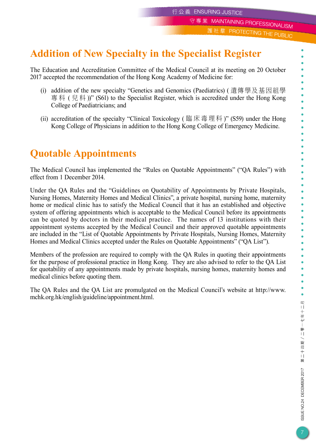守專業 MAINTAINING PROFESSIONALISM

護社羣 PROTECTING THE PUBLIC

# **Addition of New Specialty in the Specialist Register**

The Education and Accreditation Committee of the Medical Council at its meeting on 20 October 2017 accepted the recommendation of the Hong Kong Academy of Medicine for:

- (i) addition of the new specialty "Genetics and Genomics (Paediatrics) ( 遺傳學及基因組學 專科 (兒科))" (S61) to the Specialist Register, which is accredited under the Hong Kong College of Paediatricians; and
- (ii) accreditation of the specialty "Clinical Toxicology ( 臨床毒理科 )" (S59) under the Hong Kong College of Physicians in addition to the Hong Kong College of Emergency Medicine.

# **Quotable Appointments**

The Medical Council has implemented the "Rules on Quotable Appointments" ("QA Rules") with effect from 1 December 2014.

Under the QA Rules and the "Guidelines on Quotability of Appointments by Private Hospitals, Nursing Homes, Maternity Homes and Medical Clinics", a private hospital, nursing home, maternity home or medical clinic has to satisfy the Medical Council that it has an established and objective system of offering appointments which is acceptable to the Medical Council before its appointments can be quoted by doctors in their medical practice. The names of 13 institutions with their appointment systems accepted by the Medical Council and their approved quotable appointments are included in the "List of Quotable Appointments by Private Hospitals, Nursing Homes, Maternity Homes and Medical Clinics accepted under the Rules on Quotable Appointments" ("QA List").

Members of the profession are required to comply with the QA Rules in quoting their appointments for the purpose of professional practice in Hong Kong. They are also advised to refer to the QA List for quotability of any appointments made by private hospitals, nursing homes, maternity homes and medical clinics before quoting them.

The QA Rules and the QA List are promulgated on the Medical Council's website at http://www. mchk.org.hk/english/guideline/appointment.html.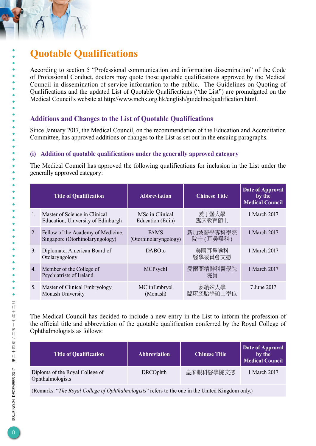# **Quotable Qualifications**

According to section 5 "Professional communication and information dissemination" of the Code of Professional Conduct, doctors may quote those quotable qualifications approved by the Medical Council in dissemination of service information to the public. The Guidelines on Quoting of Qualifications and the updated List of Quotable Qualifications ("the List") are promulgated on the Medical Council's website at http://www.mchk.org.hk/english/guideline/qualification.html.

## **Additions and Changes to the List of Quotable Qualifications**

Since January 2017, the Medical Council, on the recommendation of the Education and Accreditation Committee, has approved additions or changes to the List as set out in the ensuing paragraphs.

### **(i) Addition of quotable qualifications under the generally approved category**

The Medical Council has approved the following qualifications for inclusion in the List under the generally approved category:

|              | <b>Title of Qualification</b>                                         | <b>Abbreviation</b>                  | <b>Chinese Title</b>  | <b>Date of Approval</b><br>by the<br><b>Medical Council</b> |
|--------------|-----------------------------------------------------------------------|--------------------------------------|-----------------------|-------------------------------------------------------------|
| $\mathbf{1}$ | Master of Science in Clinical<br>Education, University of Edinburgh   | MSc in Clinical<br>Education (Edin)  | 愛丁堡大學<br>臨床教育碩士       | 1 March 2017                                                |
| 2.           | Fellow of the Academy of Medicine,<br>Singapore (Otorhinolaryngology) | <b>FAMS</b><br>(Otorhinolaryngology) | 新加坡醫學專科學院<br>院士(耳鼻喉科) | 1 March 2017                                                |
| 3.           | Diplomate, American Board of<br>Otolaryngology                        | <b>DABOto</b>                        | 美國耳鼻喉科<br>醫學委員會文憑     | 1 March 2017                                                |
| 4.           | Member of the College of<br>Psychiatrists of Ireland                  | MCPsychI                             | 愛爾蘭精神科醫學院<br>院員       | 1 March 2017                                                |
| 5.           | Master of Clinical Embryology,<br>Monash University                   | MClinEmbryol<br>(Monash)             | 蒙納殊大學<br>臨床胚胎學碩士學位    | 7 June 2017                                                 |

The Medical Council has decided to include a new entry in the List to inform the profession of the official title and abbreviation of the quotable qualification conferred by the Royal College of Ophthalmologists as follows:

| <b>Title of Qualification</b>                       | <b>Abbreviation</b> | <b>Chinese Title</b> | Date of Approval<br>by the<br>Medical Council |
|-----------------------------------------------------|---------------------|----------------------|-----------------------------------------------|
| Diploma of the Royal College of<br>Ophthalmologists | <b>DRCOphth</b>     | 皇家眼科醫學院文憑            | 1 March 2017                                  |

(Remarks: "*The Royal College of Ophthalmologists*" refers to the one in the United Kingdom only.)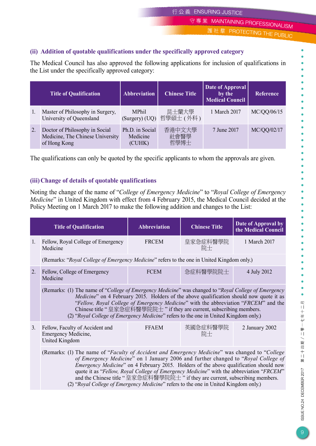守專業 MAINTAINING PROFESSIONALISM

護社羣 PROTECTING THE PUBLIC

ö

#### **(ii) Addition of quotable qualifications under the specifically approved category**

The Medical Council has also approved the following applications for inclusion of qualifications in the List under the specifically approved category:

|    | <b>Title of Qualification</b>                                                      | <b>Abbreviation</b>                   | <b>Chinese Title</b>   | Date of Approval<br>by the<br><b>Medical Council</b> | <b>Reference</b> |
|----|------------------------------------------------------------------------------------|---------------------------------------|------------------------|------------------------------------------------------|------------------|
|    | Master of Philosophy in Surgery,<br>University of Queensland                       | <b>MPhil</b><br>(Surgery) (UQ)        | 昆士蘭大學<br>哲學碩士 (外科)     | 1 March 2017                                         | MC/QQ/06/15      |
| 2. | Doctor of Philosophy in Social<br>Medicine, The Chinese University<br>of Hong Kong | Ph.D. in Social<br>Medicine<br>(CUHK) | 香港中文大學<br>社會醫學<br>哲學博士 | 7 June 2017                                          | MC/QQ/02/17      |

The qualifications can only be quoted by the specific applicants to whom the approvals are given.

#### **(iii)Change of details of quotable qualifications**

Noting the change of the name of "*College of Emergency Medicine*" to "*Royal College of Emergency Medicine*" in United Kingdom with effect from 4 February 2015, the Medical Council decided at the Policy Meeting on 1 March 2017 to make the following addition and changes to the List:

|                                                                                                                                                                                                                                                                                                                                                                                                                                                                  | <b>Title of Qualification</b>                                                                                                                                                                                                                                                                    | <b>Abbreviation</b> | <b>Chinese Title</b>                                                                                                                                         | Date of Approval by<br>the Medical Council |  |
|------------------------------------------------------------------------------------------------------------------------------------------------------------------------------------------------------------------------------------------------------------------------------------------------------------------------------------------------------------------------------------------------------------------------------------------------------------------|--------------------------------------------------------------------------------------------------------------------------------------------------------------------------------------------------------------------------------------------------------------------------------------------------|---------------------|--------------------------------------------------------------------------------------------------------------------------------------------------------------|--------------------------------------------|--|
| 1.                                                                                                                                                                                                                                                                                                                                                                                                                                                               | Fellow, Royal College of Emergency<br>Medicine                                                                                                                                                                                                                                                   | <b>FRCEM</b>        | 皇家急症科醫學院<br>院士                                                                                                                                               | 1 March 2017                               |  |
|                                                                                                                                                                                                                                                                                                                                                                                                                                                                  | (Remarks: "Royal College of Emergency Medicine" refers to the one in United Kingdom only.)                                                                                                                                                                                                       |                     |                                                                                                                                                              |                                            |  |
| 2.                                                                                                                                                                                                                                                                                                                                                                                                                                                               | Fellow, College of Emergency<br>Medicine                                                                                                                                                                                                                                                         | <b>FCEM</b>         | 急症科醫學院院士                                                                                                                                                     | 4 July 2012                                |  |
|                                                                                                                                                                                                                                                                                                                                                                                                                                                                  | (Remarks: (1) The name of "College of Emergency Medicine" was changed to "Royal College of Emergency"<br><i>Medicine</i> " on 4 February 2015. Holders of the above qualification should now quote it as<br>(2) "Royal College of Emergency Medicine" refers to the one in United Kingdom only.) |                     | "Fellow, Royal College of Emergency Medicine" with the abbreviation "FRCEM" and the<br>Chinese title "皇家急症科醫學院院士 " if they are current, subscribing members. |                                            |  |
| 3.                                                                                                                                                                                                                                                                                                                                                                                                                                                               | Fellow, Faculty of Accident and<br>Emergency Medicine,<br>United Kingdom                                                                                                                                                                                                                         | <b>FFAEM</b>        | 英國急症科醫學院<br>院士                                                                                                                                               | 2 January 2002                             |  |
| (Remarks: (1) The name of "Faculty of Accident and Emergency Medicine" was changed to "College"<br>of Emergency Medicine" on 1 January 2006 and further changed to "Royal College of<br><i>Emergency Medicine</i> " on 4 February 2015. Holders of the above qualification should now<br>quote it as "Fellow, Royal College of Emergency Medicine" with the abbreviation "FRCEM"<br>and the Chinese title "皇家急症科醫學院院士" if they are current, subscribing members. |                                                                                                                                                                                                                                                                                                  |                     |                                                                                                                                                              |                                            |  |

(2) "*Royal College of Emergency Medicine*" refers to the one in United Kingdom only.)

 $\bullet$ 

第二十四期/二零一七年十二月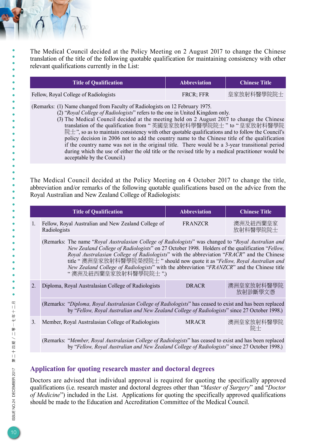The Medical Council decided at the Policy Meeting on 2 August 2017 to change the Chinese translation of the title of the following quotable qualification for maintaining consistency with other relevant qualifications currently in the List:

| <b>Title of Qualification</b>         | <b>Abbreviation</b> | <b>Chinese Title</b> |
|---------------------------------------|---------------------|----------------------|
| Fellow, Royal College of Radiologists | <b>FRCR: FFR</b>    | 皇家放射科醫學院院士           |

(Remarks: (1) Name changed from Faculty of Radiologists on 12 February 1975.

- (2) "*Royal College of Radiologists*" refers to the one in United Kingdom only.
	- (3) The Medical Council decided at the meeting held on 2 August 2017 to change the Chinese translation of the qualification from " 英國皇家放射科學醫學院院士 " to " 皇家放射科醫學院 院士", so as to maintain consistency with other quotable qualifications and to follow the Council's policy decision in 2006 not to add the country name to the Chinese title of the qualification if the country name was not in the original title. There would be a 3-year transitional period during which the use of either the old title or the revised title by a medical practitioner would be acceptable by the Council.)

The Medical Council decided at the Policy Meeting on 4 October 2017 to change the title, abbreviation and/or remarks of the following quotable qualifications based on the advice from the Royal Australian and New Zealand College of Radiologists:

|                | <b>Title of Qualification</b>                                                                                                                                                                                                                                                                                                                                                                                                                                                                           | <b>Abbreviation</b>                    | <b>Chinese Title</b>  |  |  |
|----------------|---------------------------------------------------------------------------------------------------------------------------------------------------------------------------------------------------------------------------------------------------------------------------------------------------------------------------------------------------------------------------------------------------------------------------------------------------------------------------------------------------------|----------------------------------------|-----------------------|--|--|
| $\mathbf{1}$ . | Fellow, Royal Australian and New Zealand College of<br>Radiologists                                                                                                                                                                                                                                                                                                                                                                                                                                     | 澳洲及紐西蘭皇家<br><b>FRANZCR</b><br>放射科醫學院院士 |                       |  |  |
|                | (Remarks: The name "Royal Australasian College of Radiologists" was changed to "Royal Australian and<br>New Zealand College of Radiologists" on 27 October 1998. Holders of the qualification "Fellow,<br>Royal Australasian College of Radiologists" with the abbreviation "FRACR" and the Chinese<br>title "澳洲皇家放射科醫學院榮授院士" should now quote it as "Fellow, Royal Australian and<br>New Zealand College of Radiologists" with the abbreviation "FRANZCR" and the Chinese title<br>"澳洲及紐西蘭皇家放射科醫學院院士") |                                        |                       |  |  |
|                | Diploma, Royal Australasian College of Radiologists                                                                                                                                                                                                                                                                                                                                                                                                                                                     | DR ACR                                 | 澳洲皇家放射科醫學院<br>放射診斷學文憑 |  |  |
|                | (Remarks: "Diploma, Royal Australasian College of Radiologists" has ceased to exist and has been replaced<br>by "Fellow, Royal Australian and New Zealand College of Radiologists" since 27 October 1998.)                                                                                                                                                                                                                                                                                              |                                        |                       |  |  |
| 3.             | Member, Royal Australasian College of Radiologists                                                                                                                                                                                                                                                                                                                                                                                                                                                      | <b>MRACR</b>                           | 澳洲皇家放射科醫學院<br>院十      |  |  |

(Remarks: "*Member, Royal Australasian College of Radiologists*" has ceased to exist and has been replaced by "*Fellow, Royal Australian and New Zealand College of Radiologists*" since 27 October 1998.)

#### **Application for quoting research master and doctoral degrees**

Doctors are advised that individual approval is required for quoting the specifically approved qualifications (i.e. research master and doctoral degrees other than "*Master of Surgery*" and "*Doctor of Medicine*") included in the List. Applications for quoting the specifically approved qualifications should be made to the Education and Accreditation Committee of the Medical Council.

 $\bullet$  $\bullet$ 

 $\bullet$  $\bullet$ 

 $\bullet$  $\bullet$  $\bullet$  $\bullet$  $\bullet$  $\bullet$  $\bullet$  $\bullet$  $\bullet$  $\bullet$  $\bullet$  $\bullet$  $\bullet$  $\bullet$  $\bullet$  $\bullet$  $\bullet$  $\bullet$  $\bullet$  $\bullet$  $\bullet$  $\bullet$  $\bullet$  $\bullet$  $\bullet$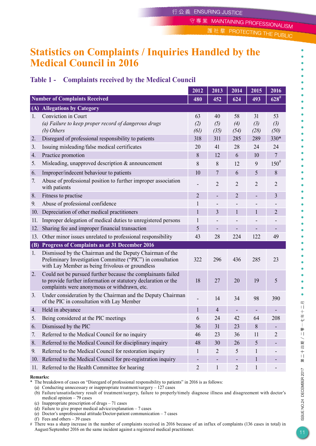守專業 MAINTAINING PROFESSIONALISM

社羣 PROTECTING THE PUBLIC

ö

## **Statistics on Complaints / Inquiries Handled by the Medical Council in 2016**

## **Table 1 - Complaints received by the Medical Council**

|     |                                                                                                                                                                                | 2012                         | 2013                     | 2014              | 2015              | 2016              |
|-----|--------------------------------------------------------------------------------------------------------------------------------------------------------------------------------|------------------------------|--------------------------|-------------------|-------------------|-------------------|
|     | <b>Number of Complaints Received</b>                                                                                                                                           | 480                          | 452                      | 624               | 493               | $628^{#}$         |
|     | (A) Allegations by Category                                                                                                                                                    |                              |                          |                   |                   |                   |
| 1.  | Conviction in Court<br>(a) Failure to keep proper record of dangerous drugs<br>(b) Others                                                                                      | 63<br>(2)<br>(61)            | 40<br>(5)<br>(35)        | 58<br>(4)<br>(54) | 31<br>(3)<br>(28) | 53<br>(3)<br>(50) |
| 2.  | Disregard of professional responsibility to patients                                                                                                                           | 318                          | 311                      | 285               | 289               | 330*              |
| 3.  | Issuing misleading/false medical certificates                                                                                                                                  | 20                           | 41                       | 28                | 24                | 24                |
| 4.  | Practice promotion                                                                                                                                                             | 8                            | 12                       | 6                 | 10                | $\overline{7}$    |
| 5.  | Misleading, unapproved description $\&$ announcement                                                                                                                           | 8                            | 8                        | 12                | 9                 | $150^{\#}$        |
| 6.  | Improper/indecent behaviour to patients                                                                                                                                        | 10                           | $\overline{7}$           | 6                 | 5                 | 8                 |
| 7.  | Abuse of professional position to further improper association<br>with patients                                                                                                |                              | $\overline{2}$           | $\overline{2}$    | $\overline{2}$    | $\overline{2}$    |
| 8.  | Fitness to practise                                                                                                                                                            | $\overline{2}$               | ٠                        | $\overline{2}$    |                   | $\overline{3}$    |
| 9.  | Abuse of professional confidence                                                                                                                                               | 1                            |                          |                   |                   |                   |
| 10. | Depreciation of other medical practitioners                                                                                                                                    | 1                            | 3                        | $\mathbf{1}$      | 1                 | $\overline{2}$    |
| 11. | Improper delegation of medical duties to unregistered persons                                                                                                                  | $\mathbf{1}$                 | -                        |                   |                   |                   |
| 12. | Sharing fee and improper financial transaction                                                                                                                                 | 5                            | ٠                        |                   |                   | ۰                 |
| 13. | Other minor issues unrelated to professional responsibility                                                                                                                    | 43                           | 28                       | 224               | 122               | 49                |
|     | (B) Progress of Complaints as at 31 December 2016                                                                                                                              |                              |                          |                   |                   |                   |
| 1.  | Dismissed by the Chairman and the Deputy Chairman of the<br>Preliminary Investigation Committee ("PIC") in consultation<br>with Lay Member as being frivolous or groundless    | 322                          | 296                      | 436               | 285               | 23                |
| 2.  | Could not be pursued further because the complainants failed<br>to provide further information or statutory declaration or the<br>complaints were anonymous or withdrawn, etc. | 18                           | 27                       | 20                | 19                | 5                 |
| 3.  | Under consideration by the Chairman and the Deputy Chairman<br>of the PIC in consultation with Lay Member                                                                      |                              | 14                       | 34                | 98                | 390               |
| 4.  | Held in abeyance                                                                                                                                                               | 1                            | 4                        |                   |                   |                   |
| 5.  | Being considered at the PIC meetings                                                                                                                                           | 6                            | 24                       | 42                | 64                | 208               |
| 6.  | Dismissed by the PIC                                                                                                                                                           |                              | 31                       | 23                | 8                 |                   |
| 7.  | Referred to the Medical Council for no inquiry                                                                                                                                 | 46                           | 23                       | 36                | 11                | 2                 |
| 8.  | Referred to the Medical Council for disciplinary inquiry                                                                                                                       |                              | 30                       | 26                | 5                 |                   |
| 9.  | Referred to the Medical Council for restoration inquiry                                                                                                                        | $\mathbf{l}$                 | 2                        | 5                 | 1                 |                   |
| 10. | Referred to the Medical Council for pre-registration inquiry                                                                                                                   | $\qquad \qquad \blacksquare$ | $\overline{\phantom{a}}$ |                   | $\mathbf{1}$      |                   |
| 11. | Referred to the Health Committee for hearing                                                                                                                                   | $\sqrt{2}$                   | $\mathbf{1}$             | $\overline{2}$    | 1                 |                   |

#### **Remarks:**

- \* The breakdown of cases on "Disregard of professional responsibility to patients" in 2016 is as follows:
	- (a) Conducting unnecessary or inappropriate treatment/surgery 127 cases
	- (b) Failure/unsatisfactory result of treatment/surgery, failure to properly/timely diagnose illness and disagreement with doctor's medical opinion – 79 cases
	- (c) Inappropriate prescription of drugs 71 cases
	- (d) Failure to give proper medical advice/explanation 7 cases (e) Doctor's unprofessional attitude/Doctor-patient communication – 7 cases
	- (f) Fees and others 39 cases
- # There was a sharp increase in the number of complaints received in 2016 because of an influx of complaints (136 cases in total) in August/September 2016 on the same incident against a registered medical practitioner.

ISSUE NO.24 DECEMBER 2017

 $\bullet$ 

第二十四期/二零一七年十二月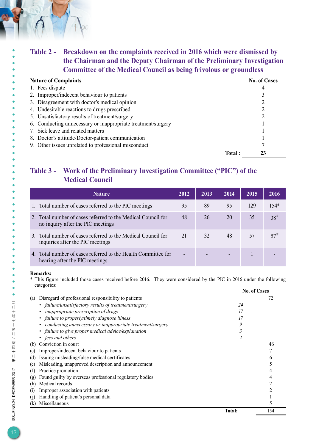## **Table 2 - Breakdown on the complaints received in 2016 which were dismissed by the Chairman and the Deputy Chairman of the Preliminary Investigation Committee of the Medical Council as being frivolous or groundless**

#### **Nature of Complaints No. of Cases** 1. Fees dispute 4 2. Improper/indecent behaviour to patients 3 3. Disagreement with doctor's medical opinion 2 4. Undesirable reactions to drugs prescribed 2 5. Unsatisfactory results of treatment/surgery 2 6. Conducting unnecessary or inappropriate treatment/surgery 1 7. Sick leave and related matters 1 8. Doctor's attitude/Doctor-patient communication 1 9. Other issues unrelated to professional misconduct 7  **Total : 23**

## **Table 3 - Work of the Preliminary Investigation Committee ("PIC") of the Medical Council**

| <b>Nature</b>                                                                                     | 2012 | 2013 | 2014 | 2015 | 2016      |
|---------------------------------------------------------------------------------------------------|------|------|------|------|-----------|
| 1. Total number of cases referred to the PIC meetings                                             | 95   | 89   | 95   | 129  | $154*$    |
| 2. Total number of cases referred to the Medical Council for<br>no inquiry after the PIC meetings | 48   | 26   | 20   | 35   | $38^{\#}$ |
| 3. Total number of cases referred to the Medical Council for<br>inquiries after the PIC meetings  | 21   | 32   | 48   | 57   | $57^{\#}$ |
| 4. Total number of cases referred to the Health Committee for<br>hearing after the PIC meetings   |      |      |      |      |           |

#### **Remarks:**

 $\bullet$  $\bullet$ 

 $\bullet$  $\bullet$  $\bullet$ ö  $\bullet$  $\bullet$  $\bullet$  $\bullet$  $\bullet$  $\bullet$ ó ä

ŏ  $\bullet$  $\bullet$  $\bullet$  $\bullet$  $\bullet$  $\bullet$  $\ddot{\bullet}$ 

第二十四期/二零一七年十二月

\* This figure included those cases received before 2016. They were considered by the PIC in 2016 under the following categories:

|                                                             |               | <b>No. of Cases</b> |
|-------------------------------------------------------------|---------------|---------------------|
| Disregard of professional responsibility to patients<br>(a) |               | 72                  |
| • failure/unsatisfactory results of treatment/surgery       | 24            |                     |
| inappropriate prescription of drugs                         | 17            |                     |
| • failure to properly/timely diagnose illness               | 17            |                     |
| conducting unnecessary or inappropriate treatment/surgery   | 9             |                     |
| • failure to give proper medical advice/explanation         |               |                     |
| • fees and others                                           |               |                     |
| (b) Conviction in court                                     |               | 46                  |
| Improper/indecent behaviour to patients<br>(c)              |               |                     |
| (d)<br>Issuing misleading/false medical certificates        |               | b                   |
| Misleading, unapproved description and announcement<br>(e)  |               |                     |
| (f)<br>Practice promotion                                   |               |                     |
| (g) Found guilty by overseas professional regulatory bodies |               |                     |
| (h) Medical records                                         |               |                     |
| (i)<br>Improper association with patients                   |               |                     |
| (j) Handling of patient's personal data                     |               |                     |
| (k) Miscellaneous                                           |               | 5                   |
|                                                             | <b>Total:</b> | 154                 |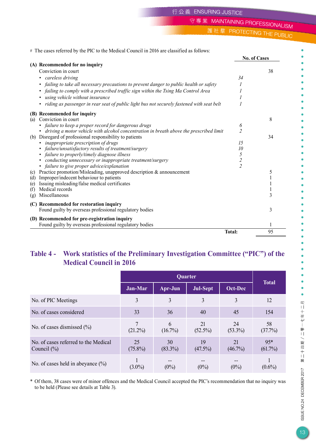守專業 MAINTAINING PROFESSIONALISM

護社羣 PROTECTING THE PUBLIC

# The cases referred by the PIC to the Medical Council in 2016 are classified as follows:

|                                                                                             |                | <b>No. of Cases</b> |
|---------------------------------------------------------------------------------------------|----------------|---------------------|
| (A) Recommended for no inquiry                                                              |                |                     |
| Conviction in court                                                                         |                | 38                  |
| • careless driving                                                                          | 34             |                     |
| failing to take all necessary precautions to prevent danger to public health or safety      |                |                     |
| failing to comply with a prescribed traffic sign within the Tsing Ma Control Area           |                |                     |
| using vehicle without insurance                                                             |                |                     |
| • riding as passenger in rear seat of public light bus not securely fastened with seat belt |                |                     |
| (B) Recommended for inquiry                                                                 |                |                     |
| Conviction in court<br>(a)                                                                  |                | 8                   |
| • failure to keep a proper record for dangerous drugs                                       | 6              |                     |
| • driving a motor vehicle with alcohol concentration in breath above the prescribed limit   | $\overline{c}$ |                     |
| (b) Disregard of professional responsibility to patients                                    |                | 34                  |
| • inappropriate prescription of drugs                                                       | 15             |                     |
| • failure/unsatisfactory results of treatment/surgery                                       | 10             |                     |
| failure to properly/timely diagnose illness                                                 | 5              |                     |
| conducting unnecessary or inappropriate treatment/surgery                                   | $\overline{c}$ |                     |
| • failure to give proper advice/explanation                                                 | $\overline{2}$ |                     |
| Practice promotion/Misleading, unapproved description & announcement<br>(c)                 |                | 5                   |
| Improper/indecent behaviour to patients<br>(d)                                              |                |                     |
| Issuing misleading/false medical certificates<br>(e)                                        |                |                     |
| Medical records<br>(f)                                                                      |                |                     |
| Miscellaneous<br>(g)                                                                        |                | 3                   |
| (C) Recommended for restoration inquiry                                                     |                |                     |
| Found guilty by overseas professional regulatory bodies                                     |                | 3                   |
| (D) Recommended for pre-registration inquiry                                                |                |                     |
| Found guilty by overseas professional regulatory bodies                                     |                |                     |
|                                                                                             | <b>Total:</b>  | 95                  |
|                                                                                             |                |                     |

### **Table 4 - Work statistics of the Preliminary Investigation Committee ("PIC") of the Medical Council in 2016**

|                                                         |                  | Quarter          |                  |                  |                     |  |
|---------------------------------------------------------|------------------|------------------|------------------|------------------|---------------------|--|
|                                                         | Jan-Mar          | Apr-Jun          | Jul-Sept         | Oct-Dec          | <b>Total</b>        |  |
| No. of PIC Meetings                                     | 3                | 3                | 3                | 3                | 12                  |  |
| No. of cases considered                                 | 33               | 36               | 40               | 45               | 154                 |  |
| No. of cases dismissed $(\% )$                          | $(21.2\%)$       | 6<br>$(16.7\%)$  | 21<br>$(52.5\%)$ | 24<br>$(53.3\%)$ | 58<br>(37.7%)       |  |
| No. of cases referred to the Medical<br>Council $(\% )$ | 25<br>$(75.8\%)$ | 30<br>$(83.3\%)$ | 19<br>$(47.5\%)$ | 21<br>$(46.7\%)$ | $95*$<br>$(61.7\%)$ |  |
| No. of cases held in abeyance $(\% )$                   | $(3.0\%)$        | $(0\%)$          | $(0\%)$          | $(0\%)$          | $(0.6\%)$           |  |

\* Of them, 38 cases were of minor offences and the Medical Council accepted the PIC's recommendation that no inquiry was to be held (Please see details at Table 3).

 $\bullet$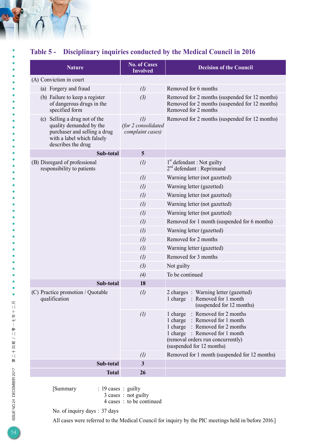## **Table 5 - Disciplinary inquiries conducted by the Medical Council in 2016**

| <b>Nature</b>                                                                                                                                | <b>No. of Cases</b><br><b>Involved</b>                       | <b>Decision of the Council</b>                                                                                                                                                                              |
|----------------------------------------------------------------------------------------------------------------------------------------------|--------------------------------------------------------------|-------------------------------------------------------------------------------------------------------------------------------------------------------------------------------------------------------------|
| (A) Conviction in court                                                                                                                      |                                                              |                                                                                                                                                                                                             |
| (a) Forgery and fraud                                                                                                                        | (1)                                                          | Removed for 6 months                                                                                                                                                                                        |
| (b) Failure to keep a register<br>of dangerous drugs in the<br>specified form                                                                | (3)                                                          | Removed for 2 months (suspended for 12 months)<br>Removed for 2 months (suspended for 12 months)<br>Removed for 2 months                                                                                    |
| (c) Selling a drug not of the<br>quality demanded by the<br>purchaser and selling a drug<br>with a label which falsely<br>describes the drug | $\left( l\right)$<br>(for 2 consolidated<br>complaint cases) | Removed for 2 months (suspended for 12 months)                                                                                                                                                              |
| Sub-total                                                                                                                                    | 5                                                            |                                                                                                                                                                                                             |
| (B) Disregard of professional<br>responsibility to patients                                                                                  | $\left( l\right)$                                            | 1 <sup>st</sup> defendant : Not guilty<br>$2nd$ defendant : Reprimand                                                                                                                                       |
|                                                                                                                                              | (1)                                                          | Warning letter (not gazetted)                                                                                                                                                                               |
|                                                                                                                                              | (1)                                                          | Warning letter (gazetted)                                                                                                                                                                                   |
|                                                                                                                                              | $\left( l\right)$                                            | Warning letter (not gazetted)                                                                                                                                                                               |
|                                                                                                                                              | (1)                                                          | Warning letter (not gazetted)                                                                                                                                                                               |
|                                                                                                                                              | (1)                                                          | Warning letter (not gazetted)                                                                                                                                                                               |
|                                                                                                                                              | $\left( l\right)$                                            | Removed for 1 month (suspended for 6 months)                                                                                                                                                                |
|                                                                                                                                              | (1)                                                          | Warning letter (gazetted)                                                                                                                                                                                   |
|                                                                                                                                              | $\left( l\right)$                                            | Removed for 2 months                                                                                                                                                                                        |
|                                                                                                                                              | (1)                                                          | Warning letter (gazetted)                                                                                                                                                                                   |
|                                                                                                                                              | (1)                                                          | Removed for 3 months                                                                                                                                                                                        |
|                                                                                                                                              | (3)                                                          | Not guilty                                                                                                                                                                                                  |
|                                                                                                                                              | (4)                                                          | To be continued                                                                                                                                                                                             |
| Sub-total                                                                                                                                    | 18                                                           |                                                                                                                                                                                                             |
| (C) Practice promotion / Quotable<br>qualification                                                                                           | $\left( l\right)$                                            | 2 charges : Warning letter (gazetted)<br>1 charge : Removed for 1 month<br>(suspended for 12 months)                                                                                                        |
|                                                                                                                                              | $\left( l\right)$                                            | : Removed for 2 months<br>1 charge<br>1 charge : Removed for 1 month<br>1 charge : Removed for 2 months<br>1 charge : Removed for 1 month<br>(removal orders run concurrently)<br>(suspended for 12 months) |
|                                                                                                                                              | $\left( l\right)$                                            | Removed for 1 month (suspended for 12 months)                                                                                                                                                               |
| Sub-total                                                                                                                                    | $\mathbf{3}$                                                 |                                                                                                                                                                                                             |
| <b>Total</b>                                                                                                                                 | 26                                                           |                                                                                                                                                                                                             |

[Summary : 19 cases : guilty

3 cases : not guilty

4 cases : to be continued

No. of inquiry days : 37 days

All cases were referred to the Medical Council for inquiry by the PIC meetings held in/before 2016.]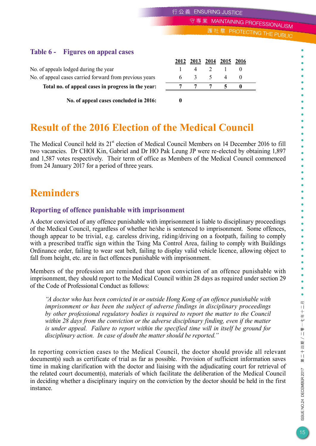守專業 MAINTAINING PROFESSIONALISM

護社羣 PROTECTING THE PUBLIC

## **Table 6 - Figures on appeal cases**

No. of appeals lodged during the year No. of appeal cases carried forward from previous years **Total no. of appeal cases in progress in the year: 7 7 7 5 0 No. of appeal cases concluded in 2016: 0**

|                                                         |              | 2012 2013 2014 2015 2016 |     |  |  |
|---------------------------------------------------------|--------------|--------------------------|-----|--|--|
| No. of appeals lodged during the year                   |              |                          | 4 2 |  |  |
| No. of appeal cases carried forward from previous years | $\mathsf{h}$ | $\sim$ $\sim$            |     |  |  |
| Total no. of appeal cases in progress in the year:      |              |                          |     |  |  |
|                                                         |              |                          |     |  |  |

## **Result of the 2016 Election of the Medical Council**

The Medical Council held its 21<sup>st</sup> election of Medical Council Members on 14 December 2016 to fill two vacancies. Dr CHOI Kin, Gabriel and Dr HO Pak Leung JP were re-elected by obtaining 1,897 and 1,587 votes respectively. Their term of office as Members of the Medical Council commenced from 24 January 2017 for a period of three years.

## **Reminders**

### **Reporting of offence punishable with imprisonment**

A doctor convicted of any offence punishable with imprisonment is liable to disciplinary proceedings of the Medical Council, regardless of whether he/she is sentenced to imprisonment. Some offences, though appear to be trivial, e.g. careless driving, riding/driving on a footpath, failing to comply with a prescribed traffic sign within the Tsing Ma Control Area, failing to comply with Buildings Ordinance order, failing to wear seat belt, failing to display valid vehicle licence, allowing object to fall from height, etc. are in fact offences punishable with imprisonment.

Members of the profession are reminded that upon conviction of an offence punishable with imprisonment, they should report to the Medical Council within 28 days as required under section 29 of the Code of Professional Conduct as follows:

*"A doctor who has been convicted in or outside Hong Kong of an offence punishable with imprisonment or has been the subject of adverse findings in disciplinary proceedings by other professional regulatory bodies is required to report the matter to the Council within 28 days from the conviction or the adverse disciplinary finding, even if the matter is under appeal. Failure to report within the specified time will in itself be ground for disciplinary action. In case of doubt the matter should be reported."*

In reporting conviction cases to the Medical Council, the doctor should provide all relevant document(s) such as certificate of trial as far as possible. Provision of sufficient information saves time in making clarification with the doctor and liaising with the adjudicating court for retrieval of the related court document(s), materials of which facilitate the deliberation of the Medical Council in deciding whether a disciplinary inquiry on the conviction by the doctor should be held in the first instance.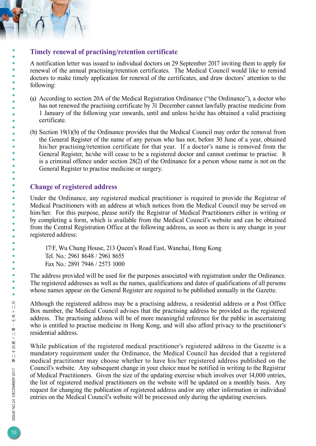### **Timely renewal of practising/retention certificate**

A notification letter was issued to individual doctors on 29 September 2017 inviting them to apply for renewal of the annual practising/retention certificates. The Medical Council would like to remind doctors to make timely application for renewal of the certificates, and draw doctors' attention to the following:

- (a) According to section 20A of the Medical Registration Ordinance ("the Ordinance"), a doctor who has not renewed the practising certificate by 31 December cannot lawfully practise medicine from 1 January of the following year onwards, until and unless he/she has obtained a valid practising certificate.
- (b) Section 19(1)(b) of the Ordinance provides that the Medical Council may order the removal from the General Register of the name of any person who has not, before 30 June of a year, obtained his/her practising/retention certificate for that year. If a doctor's name is removed from the General Register, he/she will cease to be a registered doctor and cannot continue to practise. It is a criminal offence under section 28(2) of the Ordinance for a person whose name is not on the General Register to practise medicine or surgery.

### **Change of registered address**

Under the Ordinance, any registered medical practitioner is required to provide the Registrar of Medical Practitioners with an address at which notices from the Medical Council may be served on him/her. For this purpose, please notify the Registrar of Medical Practitioners either in writing or by completing a form, which is available from the Medical Council's website and can be obtained from the Central Registration Office at the following address, as soon as there is any change in your registered address:

17/F, Wu Chung House, 213 Queen's Road East, Wanchai, Hong Kong Tel. No.: 2961 8648 / 2961 8655 Fax No.: 2891 7946 / 2573 1000

The address provided will be used for the purposes associated with registration under the Ordinance. The registered addresses as well as the names, qualifications and dates of qualifications of all persons whose names appear on the General Register are required to be published annually in the Gazette.

Although the registered address may be a practising address, a residential address or a Post Office Box number, the Medical Council advises that the practising address be provided as the registered address. The practising address will be of more meaningful reference for the public in ascertaining who is entitled to practise medicine in Hong Kong, and will also afford privacy to the practitioner's residential address.

While publication of the registered medical practitioner's registered address in the Gazette is a mandatory requirement under the Ordinance, the Medical Council has decided that a registered medical practitioner may choose whether to have his/her registered address published on the Council's website. Any subsequent change in your choice must be notified in writing to the Registrar of Medical Practitioners. Given the size of the updating exercise which involves over 14,000 entries, the list of registered medical practitioners on the website will be updated on a monthly basis. Any request for changing the publication of registered address and/or any other information in individual entries on the Medical Council's website will be processed only during the updating exercises.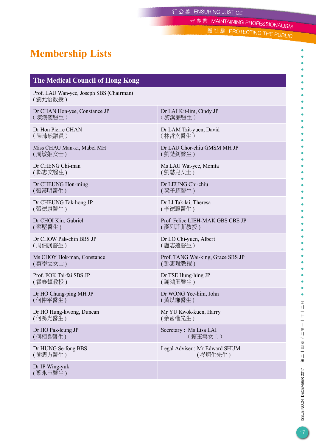守專業 MAINTAINING PROFESSIONALISM

護社羣 PROTECTING THE PUBLIC

# **Membership Lists**

## **The Medical Council of Hong Kong**

Prof. LAU Wan-yee, Joseph SBS (Chairman) ( 劉允怡教授 )

Dr CHAN Hon-yee, Constance JP ( 陳漢儀醫生 )

Dr Hon Pierre CHAN ( 陳沛然議員 )

Miss CHAU Man-ki, Mabel MH ( 周敏姬女士 )

Dr CHENG Chi-man ( 鄭志文醫生 )

Dr CHEUNG Hon-ming ( 張漢明醫生 )

Dr CHEUNG Tak-hong JP ( 張德康醫生 )

Dr CHOI Kin, Gabriel ( 蔡堅醫生 )

Dr CHOW Pak-chin BBS JP ( 周伯展醫生 )

Ms CHOY Hok-man, Constance ( 蔡學雯女士 )

Prof. FOK Tai-fai SBS JP ( 霍泰輝教授 )

Dr HO Chung-ping MH JP ( 何仲平醫生 )

Dr HO Hung-kwong, Duncan ( 何鴻光醫生 )

Dr HO Pak-leung JP ( 何栢良醫生 )

Dr HUNG Se-fong BBS ( 熊思方醫生 )

Dr IP Wing-yuk ( 葉永玉醫生 )

Dr LAI Kit-lim, Cindy JP ( 黎潔廉醫生 )

Dr LAM Tzit-yuen, David ( 林哲玄醫生 )

Dr LAU Chor-chiu GMSM MH JP ( 劉楚釗醫生 )

Ms LAU Wai-yee, Monita ( 劉慧兒女士 )

Dr LEUNG Chi-chiu ( 梁子超醫生 )

Dr LI Tak-lai, Theresa ( 李德麗醫生 )

Prof. Felice LIEH-MAK GBS CBE JP ( 麥列菲菲教授 )

Dr LO Chi-yuen, Albert ( 盧志遠醫生 )

Prof. TANG Wai-king, Grace SBS JP ( 鄧惠瓊教授 )

Dr TSE Hung-hing JP ( 謝鴻興醫生 )

Dr WONG Yee-him, John ( 黃以謙醫生 )

Mr YU Kwok-kuen, Harry ( 余國權先生 )

Secretary : Ms Lisa LAI ( 賴玉雲女士 )

Legal Adviser : Mr Edward SHUM ( 岑炳生先生 )

第二十四期/二零一七年十二月 ISSUE NO.24 DECEMBER 2017

 $\bullet$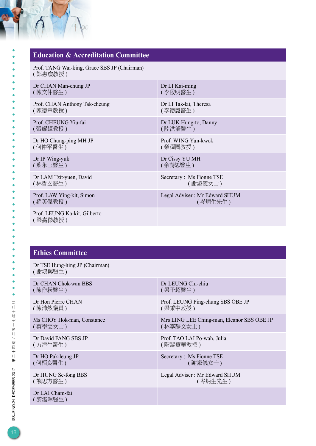| <b>Education &amp; Accreditation Committee</b>          |                                          |  |  |  |
|---------------------------------------------------------|------------------------------------------|--|--|--|
| Prof. TANG Wai-king, Grace SBS JP (Chairman)<br>(鄧惠瓊教授) |                                          |  |  |  |
| Dr CHAN Man-chung JP<br>(陳文仲醫生)                         | Dr LI Kai-ming<br>(李啟明醫生)                |  |  |  |
| Prof. CHAN Anthony Tak-cheung<br>(陳德章教授)                | Dr LI Tak-lai, Theresa<br>(李德麗醫生)        |  |  |  |
| Prof. CHEUNG Yiu-fai<br>(張耀輝教授)                         | Dr LUK Hung-to, Danny<br>(陸洪滔醫生)         |  |  |  |
| Dr HO Chung-ping MH JP<br>(何仲平醫生)                       | Prof. WING Yun-kwok<br>(榮潤國教授)           |  |  |  |
| Dr IP Wing-yuk<br>(葉永玉醫生)                               | Dr Cissy YU MH<br>(余詩思醫生)                |  |  |  |
| Dr LAM Tzit-yuen, David<br>(林哲玄醫生)                      | Secretary: Ms Fionne TSE<br>(謝淑儀女士)      |  |  |  |
| Prof. LAW Ying-kit, Simon<br>(羅英傑教授)                    | Legal Adviser: Mr Edward SHUM<br>(岑炳生先生) |  |  |  |
| Prof. LEUNG Ka-kit, Gilberto<br>(梁嘉傑教授)                 |                                          |  |  |  |

### **Ethics Committee**

Dr TSE Hung-hing JP (Chairman) ( 謝鴻興醫生 )

Dr CHAN Chok-wan BBS ( 陳作耘醫生 )

Dr Hon Pierre CHAN ( 陳沛然議員 )

Ms CHOY Hok-man, Constance ( 蔡學雯女士 )

Dr David FANG SBS JP ( 方津生醫生 )

Dr HO Pak-leung JP ( 何栢良醫生 )

Dr HUNG Se-fong BBS ( 熊思方醫生 )

Dr LAI Cham-fai ( 黎湛暉醫生 )

Dr LEUNG Chi-chiu ( 梁子超醫生 )

Prof. LEUNG Ping-chung SBS OBE JP ( 梁秉中教授 )

Mrs LING LEE Ching-man, Eleanor SBS OBE JP ( 林李靜文女士 )

Prof. TAO LAI Po-wah, Julia ( 陶黎寶華教授 )

Secretary : Ms Fionne TSE ( 謝淑儀女士 )

Legal Adviser : Mr Edward SHUM ( 岑炳生先生 )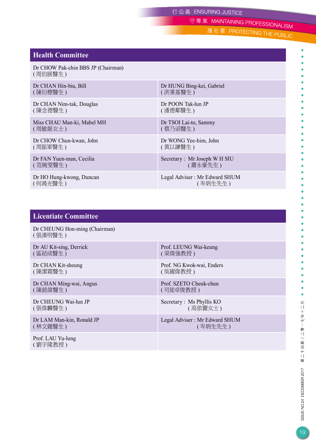守專業 MAINTAINING PROFESSIONALISM

護社羣 PROTECTING THE PUBLIC

#### **Health Committee**

Dr CHOW Pak-chin BBS JP (Chairman) ( 周伯展醫生 )

Dr CHAN Hin-biu, Bill ( 陳衍標醫生 )

Dr CHAN Nim-tak, Douglas ( 陳念德醫生 )

Miss CHAU Man-ki, Mabel MH ( 周敏姬女士 )

Dr CHOW Chun-kwan, John ( 周振軍醫生 )

Dr FAN Yuen-man, Cecilia ( 范婉雯醫生 )

Dr HO Hung-kwong, Duncan ( 何鴻光醫生 )

Dr HUNG Bing-kei, Gabriel ( 洪秉基醫生 )

Dr POON Tak-lun JP ( 潘德鄰醫生 )

Dr TSOI Lai-to, Sammy ( 蔡乃滔醫生 )

Dr WONG Yee-him, John ( 黄以謙醫生 )

Secretary : Mr Joseph W H SIU ( 蕭永豪先生 )

Legal Adviser : Mr Edward SHUM ( 岑炳生先生 )

#### **Licentiate Committee**

Dr CHEUNG Hon-ming (Chairman) ( 張漢明醫生 )

Dr AU Kit-sing, Derrick ( 區結成醫生 )

Dr CHAN Kit-sheung ( 陳潔霜醫生 )

Dr CHAN Ming-wai, Angus ( 陳銘偉醫生 )

Dr CHEUNG Wai-lun JP ( 張偉麟醫生 )

Dr LAM Man-kin, Ronald JP ( 林文健醫生 )

Prof. LAU Yu-lung ( 劉宇隆教授 )

Prof. LEUNG Wai-keung ( 梁偉強教授 )

Prof. NG Kwok-wai, Enders ( 吳國偉教授 )

Prof. SZETO Cheuk-chun ( 司徒卓俊教授 )

Secretary : Ms Phyllis KO ( 高依麗女士 )

Legal Adviser : Mr Edward SHUM ( 岑炳生先生 )

 $\bullet$